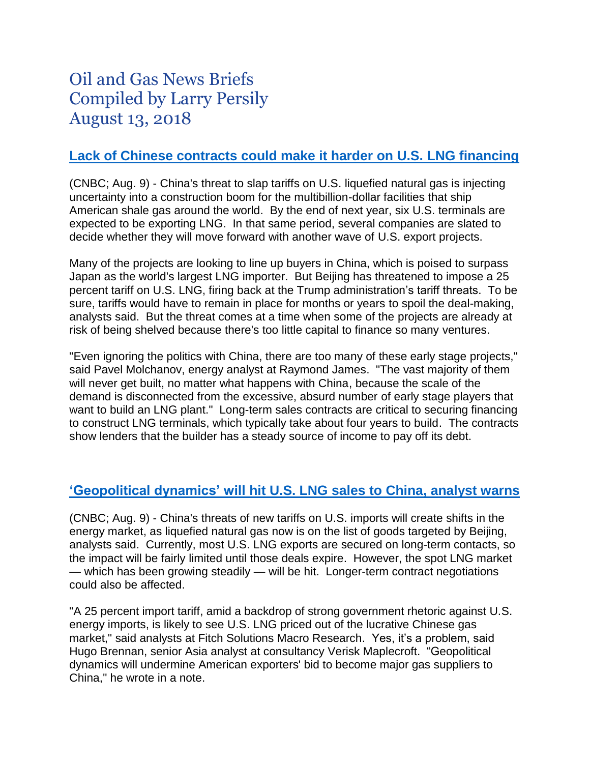# Oil and Gas News Briefs Compiled by Larry Persily August 13, 2018

## **Lack of Chinese contracts [could make it harder on U.S.](https://www.cnbc.com/2018/08/09/china-tariffs-create-headache-for-next-wave-of-us-lng-export-projects.html) LNG financing**

(CNBC; Aug. 9) - China's threat to slap tariffs on U.S. liquefied natural gas is injecting uncertainty into a construction boom for the multibillion-dollar facilities that ship American shale gas around the world. By the end of next year, six U.S. terminals are expected to be exporting LNG. In that same period, several companies are slated to decide whether they will move forward with another wave of U.S. export projects.

Many of the projects are looking to line up buyers in China, which is poised to surpass Japan as the world's largest LNG importer. But Beijing has threatened to impose a 25 percent tariff on U.S. LNG, firing back at the Trump administration's tariff threats. To be sure, tariffs would have to remain in place for months or years to spoil the deal-making, analysts said. But the threat comes at a time when some of the projects are already at risk of being shelved because there's too little capital to finance so many ventures.

"Even ignoring the politics with China, there are too many of these early stage projects," said Pavel Molchanov, energy analyst at Raymond James. "The vast majority of them will never get built, no matter what happens with China, because the scale of the demand is disconnected from the excessive, absurd number of early stage players that want to build an LNG plant." Long-term sales contracts are critical to securing financing to construct LNG terminals, which typically take about four years to build. The contracts show lenders that the builder has a steady source of income to pay off its debt.

## **['Geopolitical dynamics' will hit](https://www.cnbc.com/2018/08/09/us-china-trade-war-chinas-tariffs-on-us-lng-shift-markets.html) U.S. LNG sales to China, analyst warns**

(CNBC; Aug. 9) - China's threats of new tariffs on U.S. imports will create shifts in the energy market, as liquefied natural gas now is on the list of goods targeted by Beijing, analysts said. Currently, most U.S. LNG exports are secured on long-term contacts, so the impact will be fairly limited until those deals expire. However, the spot LNG market — which has been growing steadily — will be hit. Longer-term contract negotiations could also be affected.

"A 25 percent import tariff, amid a backdrop of strong government rhetoric against U.S. energy imports, is likely to see U.S. LNG priced out of the lucrative Chinese gas market," said analysts at Fitch Solutions Macro Research. Yes, it's a problem, said Hugo Brennan, senior Asia analyst at consultancy Verisk Maplecroft. "Geopolitical dynamics will undermine American exporters' bid to become major gas suppliers to China," he wrote in a note.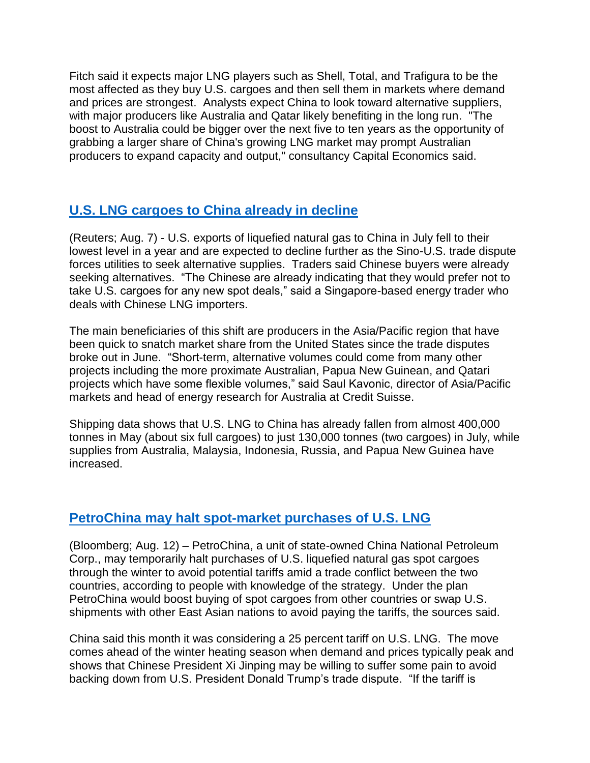Fitch said it expects major LNG players such as Shell, Total, and Trafigura to be the most affected as they buy U.S. cargoes and then sell them in markets where demand and prices are strongest. Analysts expect China to look toward alternative suppliers, with major producers like Australia and Qatar likely benefiting in the long run. "The boost to Australia could be bigger over the next five to ten years as the opportunity of grabbing a larger share of China's growing LNG market may prompt Australian producers to expand capacity and output," consultancy Capital Economics said.

## **U.S. [LNG cargoes to China already in decline](https://www.reuters.com/article/us-china-usa-trade-lng/u-s-lng-exports-to-china-slump-as-buyers-look-elsewhere-amid-trade-spat-idUSKBN1KT0G8)**

(Reuters; Aug. 7) - U.S. exports of liquefied natural gas to China in July fell to their lowest level in a year and are expected to decline further as the Sino-U.S. trade dispute forces utilities to seek alternative supplies. Traders said Chinese buyers were already seeking alternatives. "The Chinese are already indicating that they would prefer not to take U.S. cargoes for any new spot deals," said a Singapore-based energy trader who deals with Chinese LNG importers.

The main beneficiaries of this shift are producers in the Asia/Pacific region that have been quick to snatch market share from the United States since the trade disputes broke out in June. "Short-term, alternative volumes could come from many other projects including the more proximate Australian, Papua New Guinean, and Qatari projects which have some flexible volumes," said Saul Kavonic, director of Asia/Pacific markets and head of energy research for Australia at Credit Suisse.

Shipping data shows that U.S. LNG to China has already fallen from almost 400,000 tonnes in May (about six full cargoes) to just 130,000 tonnes (two cargoes) in July, while supplies from Australia, Malaysia, Indonesia, Russia, and Papua New Guinea have increased.

## **[PetroChina may halt spot-market purchases of U.S.](https://www.bloomberg.com/news/articles/2018-08-12/petrochina-is-said-to-mull-temporary-halt-of-u-s-lng-purchases) LNG**

(Bloomberg; Aug. 12) – PetroChina, a unit of state-owned China National Petroleum Corp., may temporarily halt purchases of U.S. liquefied natural gas spot cargoes through the winter to avoid potential tariffs amid a trade conflict between the two countries, according to people with knowledge of the strategy. Under the plan PetroChina would boost buying of spot cargoes from other countries or swap U.S. shipments with other East Asian nations to avoid paying the tariffs, the sources said.

China said this month it was considering a 25 percent tariff on U.S. LNG. The move comes ahead of the winter heating season when demand and prices typically peak and shows that Chinese President Xi Jinping may be willing to suffer some pain to avoid backing down from U.S. President Donald Trump's trade dispute. "If the tariff is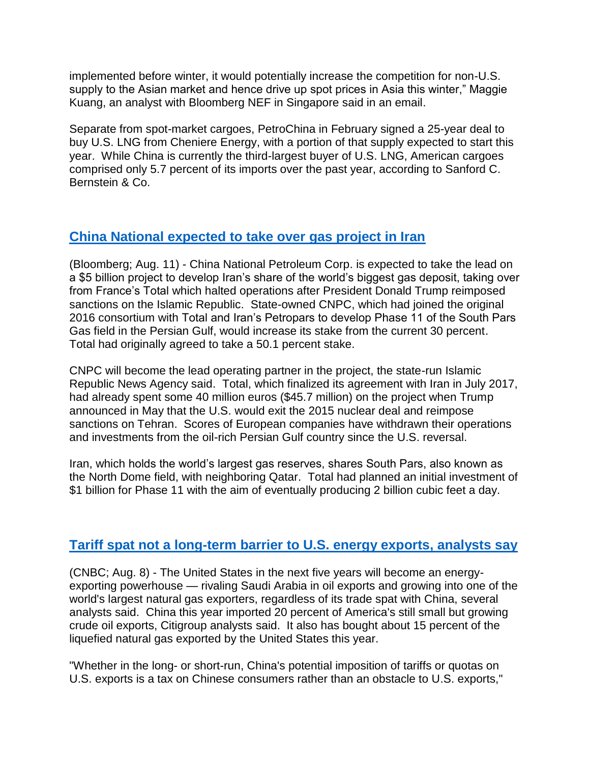implemented before winter, it would potentially increase the competition for non-U.S. supply to the Asian market and hence drive up spot prices in Asia this winter," Maggie Kuang, an analyst with Bloomberg NEF in Singapore said in an email.

Separate from spot-market cargoes, PetroChina in February signed a 25-year deal to buy U.S. LNG from Cheniere Energy, with a portion of that supply expected to start this year. While China is currently the third-largest buyer of U.S. LNG, American cargoes comprised only 5.7 percent of its imports over the past year, according to Sanford C. Bernstein & Co.

## **[China National expected to take over gas project in Iran](http://fortune.com/2018/08/11/china-cnpc-gas-field-south-pars/)**

(Bloomberg; Aug. 11) - China National Petroleum Corp. is expected to take the lead on a \$5 billion project to develop Iran's share of the world's biggest gas deposit, taking over from France's Total which halted operations after President Donald Trump reimposed sanctions on the Islamic Republic. State-owned CNPC, which had joined the original 2016 consortium with Total and Iran's Petropars to develop Phase 11 of the South Pars Gas field in the Persian Gulf, would increase its stake from the current 30 percent. Total had originally agreed to take a 50.1 percent stake.

CNPC will become the lead operating partner in the project, the state-run Islamic Republic News Agency said. Total, which finalized its agreement with Iran in July 2017, had already spent some 40 million euros (\$45.7 million) on the project when Trump announced in May that the U.S. would exit the 2015 nuclear deal and reimpose sanctions on Tehran. Scores of European companies have withdrawn their operations and investments from the oil-rich Persian Gulf country since the U.S. reversal.

Iran, which holds the world's largest gas reserves, shares South Pars, also known as the North Dome field, with neighboring Qatar. Total had planned an initial investment of \$1 billion for Phase 11 with the aim of eventually producing 2 billion cubic feet a day.

## **Tariff spat [not a long-term barrier to U.S.](https://www.cnbc.com/2018/08/08/china-trade-spat-wont-hold-back-us-crude-export-gold-rush.html) energy exports, analysts say**

(CNBC; Aug. 8) - The United States in the next five years will become an energyexporting powerhouse — rivaling Saudi Arabia in oil exports and growing into one of the world's largest natural gas exporters, regardless of its trade spat with China, several analysts said. China this year imported 20 percent of America's still small but growing crude oil exports, Citigroup analysts said. It also has bought about 15 percent of the liquefied natural gas exported by the United States this year.

"Whether in the long- or short-run, China's potential imposition of tariffs or quotas on U.S. exports is a tax on Chinese consumers rather than an obstacle to U.S. exports,"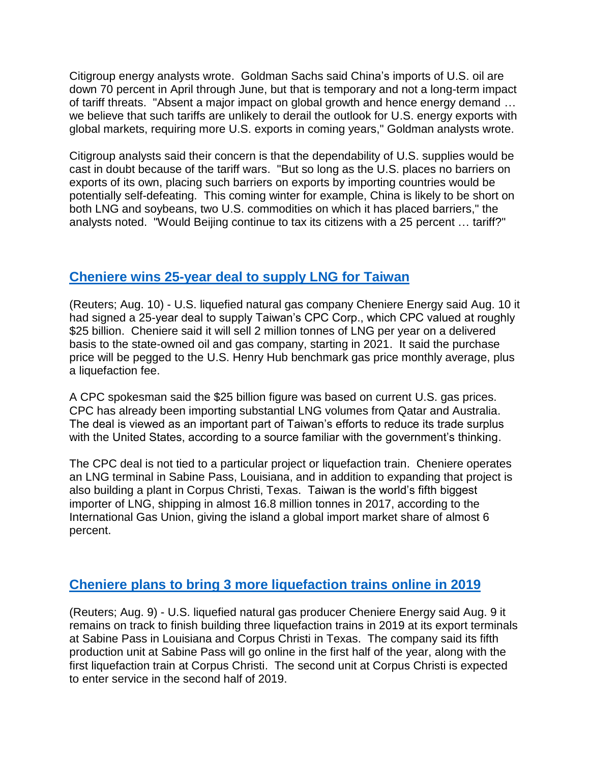Citigroup energy analysts wrote. Goldman Sachs said China's imports of U.S. oil are down 70 percent in April through June, but that is temporary and not a long-term impact of tariff threats. "Absent a major impact on global growth and hence energy demand … we believe that such tariffs are unlikely to derail the outlook for U.S. energy exports with global markets, requiring more U.S. exports in coming years," Goldman analysts wrote.

Citigroup analysts said their concern is that the dependability of U.S. supplies would be cast in doubt because of the tariff wars. "But so long as the U.S. places no barriers on exports of its own, placing such barriers on exports by importing countries would be potentially self-defeating. This coming winter for example, China is likely to be short on both LNG and soybeans, two U.S. commodities on which it has placed barriers," the analysts noted. "Would Beijing continue to tax its citizens with a 25 percent … tariff?"

#### **[Cheniere wins 25-year deal to supply LNG for Taiwan](https://www.reuters.com/article/us-cheniere-energy-taiwan/cheniere-signs-25-year-lng-sales-deal-with-taiwans-cpc-idUSKBN1KW03E)**

(Reuters; Aug. 10) - U.S. liquefied natural gas company Cheniere Energy said Aug. 10 it had signed a 25-year deal to supply Taiwan's CPC Corp., which CPC valued at roughly \$25 billion. Cheniere said it will sell 2 million tonnes of LNG per year on a delivered basis to the state-owned oil and gas company, starting in 2021. It said the purchase price will be pegged to the U.S. Henry Hub benchmark gas price monthly average, plus a liquefaction fee.

A CPC spokesman said the \$25 billion figure was based on current U.S. gas prices. CPC has already been importing substantial LNG volumes from Qatar and Australia. The deal is viewed as an important part of Taiwan's efforts to reduce its trade surplus with the United States, according to a source familiar with the government's thinking.

The CPC deal is not tied to a particular project or liquefaction train. Cheniere operates an LNG terminal in Sabine Pass, Louisiana, and in addition to expanding that project is also building a plant in Corpus Christi, Texas. Taiwan is the world's fifth biggest importer of LNG, shipping in almost 16.8 million tonnes in 2017, according to the International Gas Union, giving the island a global import market share of almost 6 percent.

## **[Cheniere plans to bring 3 more liquefaction trains online in 2019](https://af.reuters.com/article/energyOilNews/idAFL1N1V00AT)**

(Reuters; Aug. 9) - U.S. liquefied natural gas producer Cheniere Energy said Aug. 9 it remains on track to finish building three liquefaction trains in 2019 at its export terminals at Sabine Pass in Louisiana and Corpus Christi in Texas. The company said its fifth production unit at Sabine Pass will go online in the first half of the year, along with the first liquefaction train at Corpus Christi. The second unit at Corpus Christi is expected to enter service in the second half of 2019.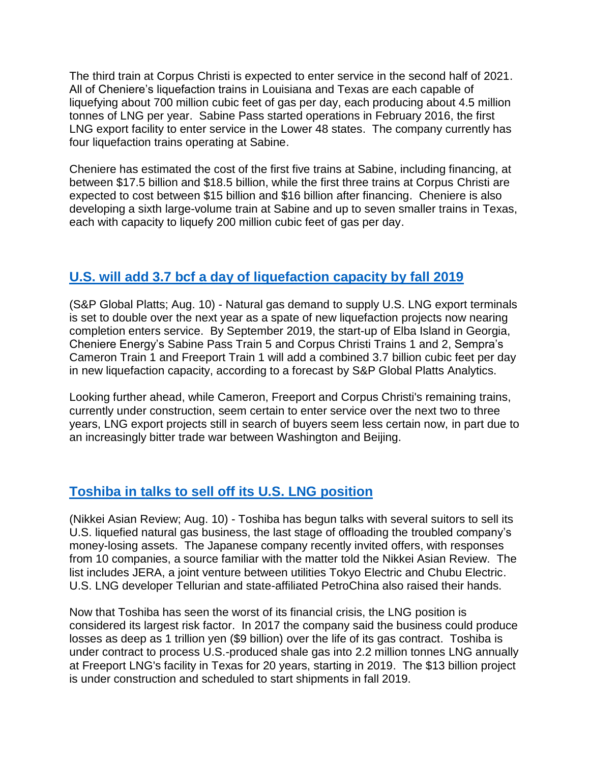The third train at Corpus Christi is expected to enter service in the second half of 2021. All of Cheniere's liquefaction trains in Louisiana and Texas are each capable of liquefying about 700 million cubic feet of gas per day, each producing about 4.5 million tonnes of LNG per year. Sabine Pass started operations in February 2016, the first LNG export facility to enter service in the Lower 48 states. The company currently has four liquefaction trains operating at Sabine.

Cheniere has estimated the cost of the first five trains at Sabine, including financing, at between \$17.5 billion and \$18.5 billion, while the first three trains at Corpus Christi are expected to cost between \$15 billion and \$16 billion after financing. Cheniere is also developing a sixth large-volume train at Sabine and up to seven smaller trains in Texas, each with capacity to liquefy 200 million cubic feet of gas per day.

## **[U.S. will add 3.7 bcf a day of liquefaction capacity by fall 2019](https://www.spglobal.com/platts/en/market-insights/latest-news/natural-gas/081018-analysis-us-lng-export-demand-faces-steep-ramp-up)**

(S&P Global Platts; Aug. 10) - Natural gas demand to supply U.S. LNG export terminals is set to double over the next year as a spate of new liquefaction projects now nearing completion enters service. By September 2019, the start-up of Elba Island in Georgia, Cheniere Energy's Sabine Pass Train 5 and Corpus Christi Trains 1 and 2, Sempra's Cameron Train 1 and Freeport Train 1 will add a combined 3.7 billion cubic feet per day in new liquefaction capacity, according to a forecast by S&P Global Platts Analytics.

Looking further ahead, while Cameron, Freeport and Corpus Christi's remaining trains, currently under construction, seem certain to enter service over the next two to three years, LNG export projects still in search of buyers seem less certain now, in part due to an increasingly bitter trade war between Washington and Beijing.

## **[Toshiba in talks to sell off its U.S.](https://asia.nikkei.com/Business/Companies/Toshiba-s-LNG-sell-off-its-final-piece-of-housecleaning) LNG position**

(Nikkei Asian Review; Aug. 10) - Toshiba has begun talks with several suitors to sell its U.S. liquefied natural gas business, the last stage of offloading the troubled company's money-losing assets. The Japanese company recently invited offers, with responses from 10 companies, a source familiar with the matter told the Nikkei Asian Review. The list includes JERA, a joint venture between utilities Tokyo Electric and Chubu Electric. U.S. LNG developer Tellurian and state-affiliated PetroChina also raised their hands.

Now that Toshiba has seen the worst of its financial crisis, the LNG position is considered its largest risk factor. In 2017 the company said the business could produce losses as deep as 1 trillion yen (\$9 billion) over the life of its gas contract. Toshiba is under contract to process U.S.-produced shale gas into 2.2 million tonnes LNG annually at Freeport LNG's facility in Texas for 20 years, starting in 2019. The \$13 billion project is under construction and scheduled to start shipments in fall 2019.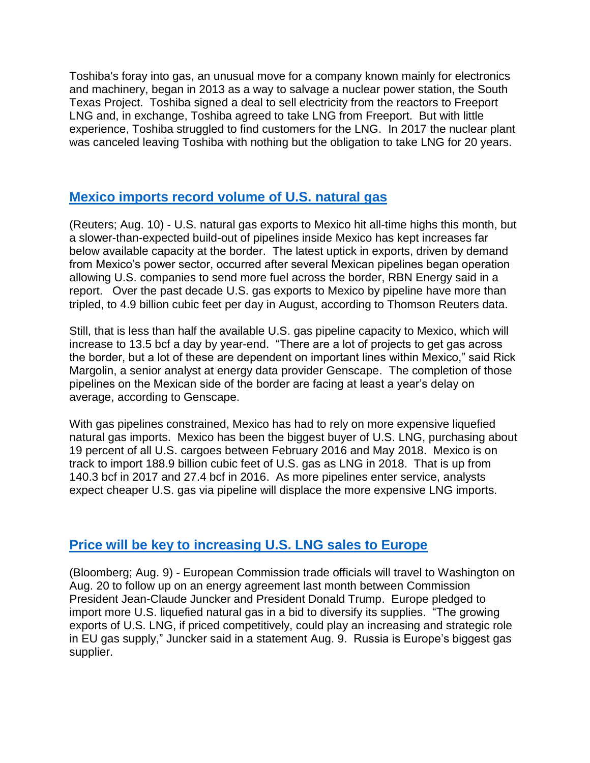Toshiba's foray into gas, an unusual move for a company known mainly for electronics and machinery, began in 2013 as a way to salvage a nuclear power station, the South Texas Project. Toshiba signed a deal to sell electricity from the reactors to Freeport LNG and, in exchange, Toshiba agreed to take LNG from Freeport. But with little experience, Toshiba struggled to find customers for the LNG. In 2017 the nuclear plant was canceled leaving Toshiba with nothing but the obligation to take LNG for 20 years.

## **[Mexico imports record volume of U.S.](https://www.reuters.com/article/us-usa-mexico-natgas/rising-us-natural-gas-exports-to-mexico-capped-by-pipe-delays-idUSKBN1KV2B3) natural gas**

(Reuters; Aug. 10) - U.S. natural gas exports to Mexico hit all-time highs this month, but a slower-than-expected build-out of pipelines inside Mexico has kept increases far below available capacity at the border. The latest uptick in exports, driven by demand from Mexico's power sector, occurred after several Mexican pipelines began operation allowing U.S. companies to send more fuel across the border, RBN Energy said in a report. Over the past decade U.S. gas exports to Mexico by pipeline have more than tripled, to 4.9 billion cubic feet per day in August, according to Thomson Reuters data.

Still, that is less than half the available U.S. gas pipeline capacity to Mexico, which will increase to 13.5 bcf a day by year-end. "There are a lot of projects to get gas across the border, but a lot of these are dependent on important lines within Mexico," said Rick Margolin, a senior analyst at energy data provider Genscape. The completion of those pipelines on the Mexican side of the border are facing at least a year's delay on average, according to Genscape.

With gas pipelines constrained, Mexico has had to rely on more expensive liquefied natural gas imports. Mexico has been the biggest buyer of U.S. LNG, purchasing about 19 percent of all U.S. cargoes between February 2016 and May 2018. Mexico is on track to import 188.9 billion cubic feet of U.S. gas as LNG in 2018. That is up from 140.3 bcf in 2017 and 27.4 bcf in 2016. As more pipelines enter service, analysts expect cheaper U.S. gas via pipeline will displace the more expensive LNG imports.

#### **Price [will be key to increasing U.S.](https://www.bloombergquint.com/business/2018/08/09/europe-shows-it-s-getting-serious-about-getting-more-u-s-lng#gs.rY7LavY) LNG sales to Europe**

(Bloomberg; Aug. 9) - European Commission trade officials will travel to Washington on Aug. 20 to follow up on an energy agreement last month between Commission President Jean-Claude Juncker and President Donald Trump. Europe pledged to import more U.S. liquefied natural gas in a bid to diversify its supplies. "The growing exports of U.S. LNG, if priced competitively, could play an increasing and strategic role in EU gas supply," Juncker said in a statement Aug. 9. Russia is Europe's biggest gas supplier.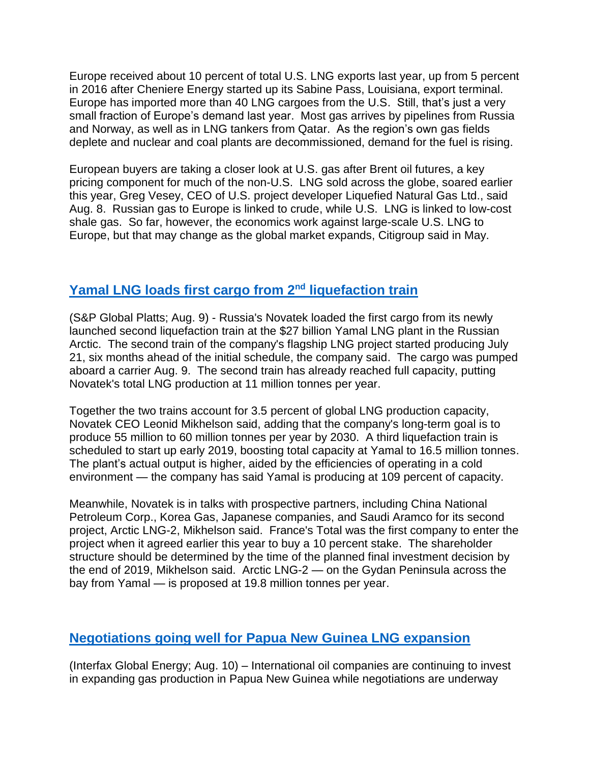Europe received about 10 percent of total U.S. LNG exports last year, up from 5 percent in 2016 after Cheniere Energy started up its Sabine Pass, Louisiana, export terminal. Europe has imported more than 40 LNG cargoes from the U.S. Still, that's just a very small fraction of Europe's demand last year. Most gas arrives by pipelines from Russia and Norway, as well as in LNG tankers from Qatar. As the region's own gas fields deplete and nuclear and coal plants are decommissioned, demand for the fuel is rising.

European buyers are taking a closer look at U.S. gas after Brent oil futures, a key pricing component for much of the non-U.S. LNG sold across the globe, soared earlier this year, Greg Vesey, CEO of U.S. project developer Liquefied Natural Gas Ltd., said Aug. 8. Russian gas to Europe is linked to crude, while U.S. LNG is linked to low-cost shale gas. So far, however, the economics work against large-scale U.S. LNG to Europe, but that may change as the global market expands, Citigroup said in May.

## **[Yamal LNG loads first cargo from 2](https://www.spglobal.com/platts/en/market-insights/latest-news/natural-gas/080918-russias-novatek-loads-first-lng-cargo-from-yamal-lng-train-2)nd liquefaction train**

(S&P Global Platts; Aug. 9) - Russia's Novatek loaded the first cargo from its newly launched second liquefaction train at the \$27 billion Yamal LNG plant in the Russian Arctic. The second train of the company's flagship LNG project started producing July 21, six months ahead of the initial schedule, the company said. The cargo was pumped aboard a carrier Aug. 9. The second train has already reached full capacity, putting Novatek's total LNG production at 11 million tonnes per year.

Together the two trains account for 3.5 percent of global LNG production capacity, Novatek CEO Leonid Mikhelson said, adding that the company's long-term goal is to produce 55 million to 60 million tonnes per year by 2030. A third liquefaction train is scheduled to start up early 2019, boosting total capacity at Yamal to 16.5 million tonnes. The plant's actual output is higher, aided by the efficiencies of operating in a cold environment — the company has said Yamal is producing at 109 percent of capacity.

Meanwhile, Novatek is in talks with prospective partners, including China National Petroleum Corp., Korea Gas, Japanese companies, and Saudi Aramco for its second project, Arctic LNG-2, Mikhelson said. France's Total was the first company to enter the project when it agreed earlier this year to buy a 10 percent stake. The shareholder structure should be determined by the time of the planned final investment decision by the end of 2019, Mikhelson said. Arctic LNG-2 — on the Gydan Peninsula across the bay from Yamal — is proposed at 19.8 million tonnes per year.

## **[Negotiations going well for Papua New Guinea LNG expansion](http://interfaxenergy.com/gasdaily/article/32096/work-continues-in-png-as-fiscal-regime-talks-progress)**

(Interfax Global Energy; Aug. 10) – International oil companies are continuing to invest in expanding gas production in Papua New Guinea while negotiations are underway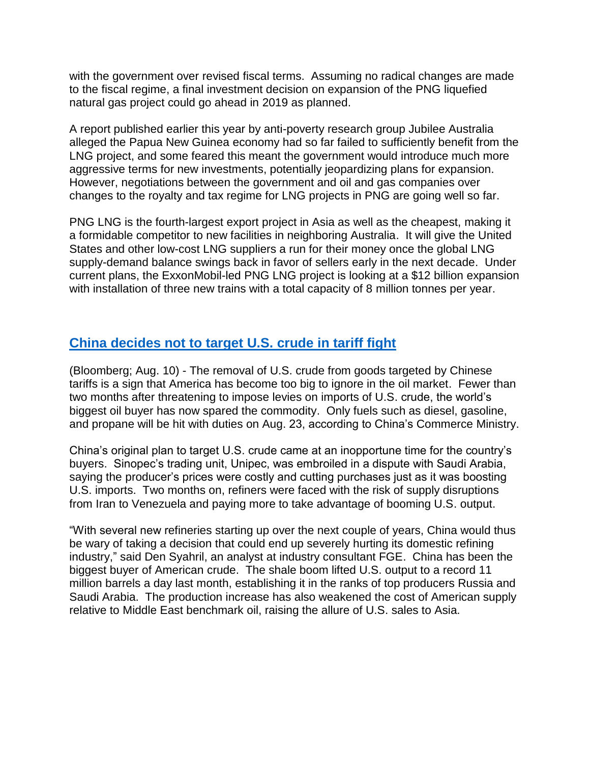with the government over revised fiscal terms. Assuming no radical changes are made to the fiscal regime, a final investment decision on expansion of the PNG liquefied natural gas project could go ahead in 2019 as planned.

A report published earlier this year by anti-poverty research group Jubilee Australia alleged the Papua New Guinea economy had so far failed to sufficiently benefit from the LNG project, and some feared this meant the government would introduce much more aggressive terms for new investments, potentially jeopardizing plans for expansion. However, negotiations between the government and oil and gas companies over changes to the royalty and tax regime for LNG projects in PNG are going well so far.

PNG LNG is the fourth-largest export project in Asia as well as the cheapest, making it a formidable competitor to new facilities in neighboring Australia. It will give the United States and other low-cost LNG suppliers a run for their money once the global LNG supply-demand balance swings back in favor of sellers early in the next decade. Under current plans, the ExxonMobil-led PNG LNG project is looking at a \$12 billion expansion with installation of three new trains with a total capacity of 8 million tonnes per year.

## **[China decides not to target U.S.](https://www.bloombergquint.com/global-economics/2018/08/09/u-s-oil-vanishing-from-chinese-tariffs-reveals-america-s-clout#gs.CcgxV8k) crude in tariff fight**

(Bloomberg; Aug. 10) - The removal of U.S. crude from goods targeted by Chinese tariffs is a sign that America has become too big to ignore in the oil market. Fewer than two months after threatening to impose levies on imports of U.S. crude, the world's biggest oil buyer has now spared the commodity. Only fuels such as diesel, gasoline, and propane will be hit with duties on Aug. 23, according to China's Commerce Ministry.

China's original plan to target U.S. crude came at an inopportune time for the country's buyers. Sinopec's trading unit, Unipec, was embroiled in a dispute with Saudi Arabia, saying the producer's prices were costly and cutting purchases just as it was boosting U.S. imports. Two months on, refiners were faced with the risk of supply disruptions from Iran to Venezuela and paying more to take advantage of booming U.S. output.

"With several new refineries starting up over the next couple of years, China would thus be wary of taking a decision that could end up severely hurting its domestic refining industry," said Den Syahril, an analyst at industry consultant FGE. China has been the biggest buyer of American crude. The shale boom lifted U.S. output to a record 11 million barrels a day last month, establishing it in the ranks of top producers Russia and Saudi Arabia. The production increase has also weakened the cost of American supply relative to Middle East benchmark oil, raising the allure of U.S. sales to Asia.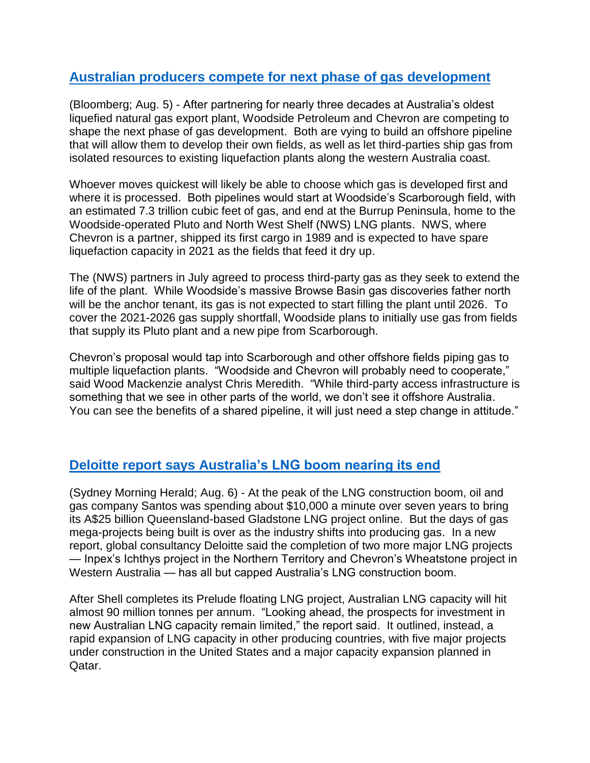#### **[Australian producers compete for next phase of gas development](https://www.bloomberg.com/news/articles/2018-08-05/allies-in-australia-s-oldest-lng-plant-spar-in-race-for-new-gas)**

(Bloomberg; Aug. 5) - After partnering for nearly three decades at Australia's oldest liquefied natural gas export plant, Woodside Petroleum and Chevron are competing to shape the next phase of gas development. Both are vying to build an offshore pipeline that will allow them to develop their own fields, as well as let third-parties ship gas from isolated resources to existing liquefaction plants along the western Australia coast.

Whoever moves quickest will likely be able to choose which gas is developed first and where it is processed. Both pipelines would start at Woodside's Scarborough field, with an estimated 7.3 trillion cubic feet of gas, and end at the Burrup Peninsula, home to the Woodside-operated Pluto and North West Shelf (NWS) LNG plants. NWS, where Chevron is a partner, shipped its first cargo in 1989 and is expected to have spare liquefaction capacity in 2021 as the fields that feed it dry up.

The (NWS) partners in July agreed to process third-party gas as they seek to extend the life of the plant. While Woodside's massive Browse Basin gas discoveries father north will be the anchor tenant, its gas is not expected to start filling the plant until 2026. To cover the 2021-2026 gas supply shortfall, Woodside plans to initially use gas from fields that supply its Pluto plant and a new pipe from Scarborough.

Chevron's proposal would tap into Scarborough and other offshore fields piping gas to multiple liquefaction plants. "Woodside and Chevron will probably need to cooperate," said Wood Mackenzie analyst Chris Meredith. "While third-party access infrastructure is something that we see in other parts of the world, we don't see it offshore Australia. You can see the benefits of a shared pipeline, it will just need a step change in attitude."

## **[Deloitte report says Australia's LNG boom nearing its end](https://www.smh.com.au/business/the-economy/boom-over-the-industry-that-was-spending-10-000-a-minute-has-reached-its-peak-20180803-p4zved.html)**

(Sydney Morning Herald; Aug. 6) - At the peak of the LNG construction boom, oil and gas company Santos was spending about \$10,000 a minute over seven years to bring its A\$25 billion Queensland-based Gladstone LNG project online. But the days of gas mega-projects being built is over as the industry shifts into producing gas. In a new report, global consultancy Deloitte said the completion of two more major LNG projects — Inpex's Ichthys project in the Northern Territory and Chevron's Wheatstone project in Western Australia — has all but capped Australia's LNG construction boom.

After Shell completes its Prelude floating LNG project, Australian LNG capacity will hit almost 90 million tonnes per annum. "Looking ahead, the prospects for investment in new Australian LNG capacity remain limited," the report said. It outlined, instead, a rapid expansion of LNG capacity in other producing countries, with five major projects under construction in the United States and a major capacity expansion planned in Qatar.